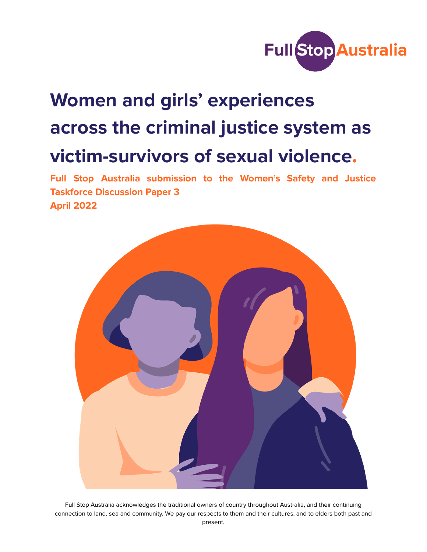

# **Women and girls' experiences across the criminal justice system as victim-survivors of sexual violence.**

**Full Stop Australia submission to the Women's Safety and Justice Taskforce Discussion Paper 3 April 2022**



Full Stop Australia acknowledges the traditional owners of country throughout Australia, and their continuing connection to land, sea and community. We pay our respects to them and their cultures, and to elders both past and present.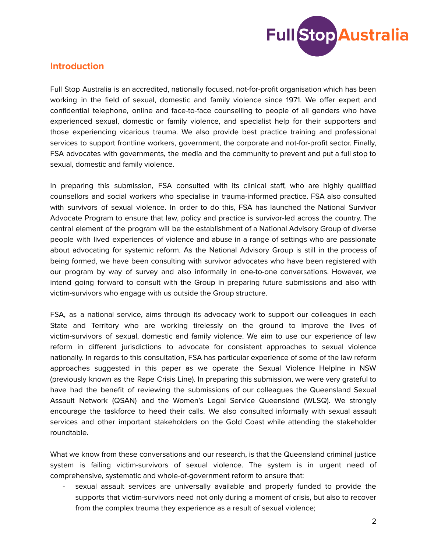

# **Introduction**

Full Stop Australia is an accredited, nationally focused, not-for-profit organisation which has been working in the field of sexual, domestic and family violence since 1971. We offer expert and confidential telephone, online and face-to-face counselling to people of all genders who have experienced sexual, domestic or family violence, and specialist help for their supporters and those experiencing vicarious trauma. We also provide best practice training and professional services to support frontline workers, government, the corporate and not-for-profit sector. Finally, FSA advocates with governments, the media and the community to prevent and put a full stop to sexual, domestic and family violence.

In preparing this submission, FSA consulted with its clinical staff, who are highly qualified counsellors and social workers who specialise in trauma-informed practice. FSA also consulted with survivors of sexual violence. In order to do this, FSA has launched the National Survivor Advocate Program to ensure that law, policy and practice is survivor-led across the country. The central element of the program will be the establishment of a National Advisory Group of diverse people with lived experiences of violence and abuse in a range of settings who are passionate about advocating for systemic reform. As the National Advisory Group is still in the process of being formed, we have been consulting with survivor advocates who have been registered with our program by way of survey and also informally in one-to-one conversations. However, we intend going forward to consult with the Group in preparing future submissions and also with victim-survivors who engage with us outside the Group structure.

FSA, as a national service, aims through its advocacy work to support our colleagues in each State and Territory who are working tirelessly on the ground to improve the lives of victim-survivors of sexual, domestic and family violence. We aim to use our experience of law reform in different jurisdictions to advocate for consistent approaches to sexual violence nationally. In regards to this consultation, FSA has particular experience of some of the law reform approaches suggested in this paper as we operate the Sexual Violence Helplne in NSW (previously known as the Rape Crisis Line). In preparing this submission, we were very grateful to have had the benefit of reviewing the submissions of our colleagues the Queensland Sexual Assault Network (QSAN) and the Women's Legal Service Queensland (WLSQ). We strongly encourage the taskforce to heed their calls. We also consulted informally with sexual assault services and other important stakeholders on the Gold Coast while attending the stakeholder roundtable.

What we know from these conversations and our research, is that the Queensland criminal justice system is failing victim-survivors of sexual violence. The system is in urgent need of comprehensive, systematic and whole-of-government reform to ensure that:

sexual assault services are universally available and properly funded to provide the supports that victim-survivors need not only during a moment of crisis, but also to recover from the complex trauma they experience as a result of sexual violence;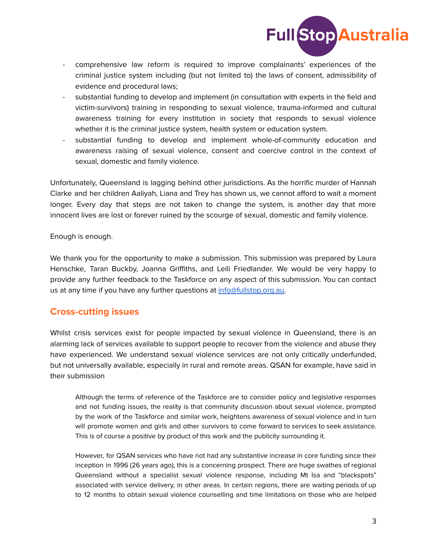

- comprehensive law reform is required to improve complainants' experiences of the criminal justice system including (but not limited to) the laws of consent, admissibility of evidence and procedural laws;
- substantial funding to develop and implement (in consultation with experts in the field and victim-survivors) training in responding to sexual violence, trauma-informed and cultural awareness training for every institution in society that responds to sexual violence whether it is the criminal justice system, health system or education system.
- substantial funding to develop and implement whole-of-community education and awareness raising of sexual violence, consent and coercive control in the context of sexual, domestic and family violence.

Unfortunately, Queensland is lagging behind other jurisdictions. As the horrific murder of Hannah Clarke and her children Aaliyah, Liana and Trey has shown us, we cannot afford to wait a moment longer. Every day that steps are not taken to change the system, is another day that more innocent lives are lost or forever ruined by the scourge of sexual, domestic and family violence.

Enough is enough.

We thank you for the opportunity to make a submission. This submission was prepared by Laura Henschke, Taran Buckby, Joanna Griffiths, and Leili Friedlander. We would be very happy to provide any further feedback to the Taskforce on any aspect of this submission. You can contact us at any time if you have any further questions at info@fullstop.org.au.

# **Cross-cutting issues**

Whilst crisis services exist for people impacted by sexual violence in Queensland, there is an alarming lack of services available to support people to recover from the violence and abuse they have experienced. We understand sexual violence services are not only critically underfunded, but not universally available, especially in rural and remote areas. QSAN for example, have said in their submission

Although the terms of reference of the Taskforce are to consider policy and legislative responses and not funding issues, the reality is that community discussion about sexual violence, prompted by the work of the Taskforce and similar work, heightens awareness of sexual violence and in turn will promote women and girls and other survivors to come forward to services to seek assistance. This is of course a positive by product of this work and the publicity surrounding it.

However, for QSAN services who have not had any substantive increase in core funding since their inception in 1996 (26 years ago), this is a concerning prospect. There are huge swathes of regional Queensland without a specialist sexual violence response, including Mt Isa and "blackspots" associated with service delivery, in other areas. In certain regions, there are waiting periods of up to 12 months to obtain sexual violence counselling and time limitations on those who are helped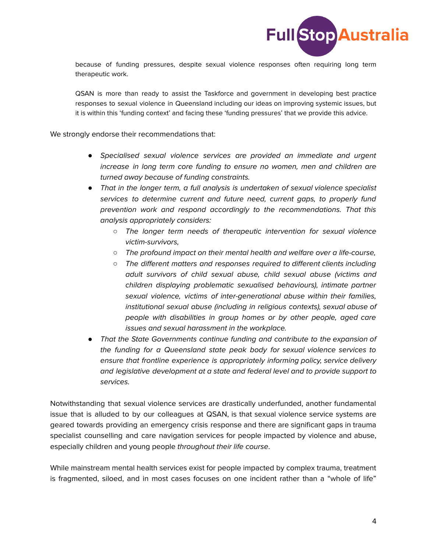

because of funding pressures, despite sexual violence responses often requiring long term therapeutic work.

QSAN is more than ready to assist the Taskforce and government in developing best practice responses to sexual violence in Queensland including our ideas on improving systemic issues, but it is within this 'funding context' and facing these 'funding pressures' that we provide this advice.

We strongly endorse their recommendations that:

- *●* Specialised sexual violence services are provided an immediate and urgent increase in long term core funding to ensure no women, men and children are turned away because of funding constraints.
- *●* That in the longer term, a full analysis is undertaken of sexual violence specialist services to determine current and future need, current gaps, to properly fund prevention work and respond accordingly to the recommendations. That this analysis appropriately considers:
	- *○* The longer term needs of therapeutic intervention for sexual violence victim-survivors,
	- *○* The profound impact on their mental health and welfare over a life-course,
	- *○* The different matters and responses required to different clients including adult survivors of child sexual abuse, child sexual abuse (victims and children displaying problematic sexualised behaviours), intimate partner sexual violence, victims of inter-generational abuse within their families, institutional sexual abuse (including in religious contexts), sexual abuse of people with disabilities in group homes or by other people, aged care issues and sexual harassment in the workplace.
- *●* That the State Governments continue funding and contribute to the expansion of the funding for a Queensland state peak body for sexual violence services to ensure that frontline experience is appropriately informing policy, service delivery and legislative development at a state and federal level and to provide support to services.

Notwithstanding that sexual violence services are drastically underfunded, another fundamental issue that is alluded to by our colleagues at QSAN, is that sexual violence service systems are geared towards providing an emergency crisis response and there are significant gaps in trauma specialist counselling and care navigation services for people impacted by violence and abuse, especially children and young people throughout their life course.

While mainstream mental health services exist for people impacted by complex trauma, treatment is fragmented, siloed, and in most cases focuses on one incident rather than a "whole of life"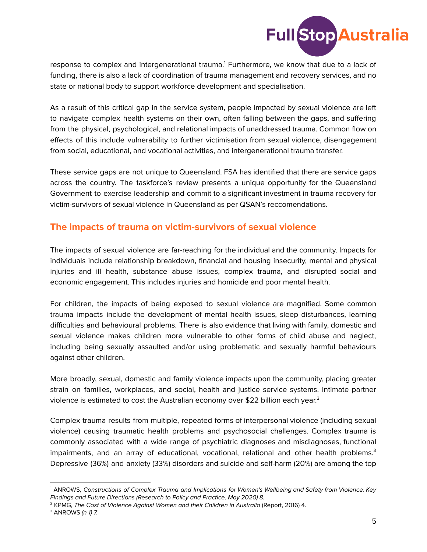

response to complex and intergenerational trauma. <sup>1</sup> Furthermore, we know that due to a lack of funding, there is also a lack of coordination of trauma management and recovery services, and no state or national body to support workforce development and specialisation.

As a result of this critical gap in the service system, people impacted by sexual violence are left to navigate complex health systems on their own, often falling between the gaps, and suffering from the physical, psychological, and relational impacts of unaddressed trauma. Common flow on effects of this include vulnerability to further victimisation from sexual violence, disengagement from social, educational, and vocational activities, and intergenerational trauma transfer.

These service gaps are not unique to Queensland. FSA has identified that there are service gaps across the country. The taskforce's review presents a unique opportunity for the Queensland Government to exercise leadership and commit to a significant investment in trauma recovery for victim-survivors of sexual violence in Queensland as per QSAN's reccomendations.

# **The impacts of trauma on victim-survivors of sexual violence**

The impacts of sexual violence are far-reaching for the individual and the community. Impacts for individuals include relationship breakdown, financial and housing insecurity, mental and physical injuries and ill health, substance abuse issues, complex trauma, and disrupted social and economic engagement. This includes injuries and homicide and poor mental health.

For children, the impacts of being exposed to sexual violence are magnified. Some common trauma impacts include the development of mental health issues, sleep disturbances, learning difficulties and behavioural problems. There is also evidence that living with family, domestic and sexual violence makes children more vulnerable to other forms of child abuse and neglect, including being sexually assaulted and/or using problematic and sexually harmful behaviours against other children.

More broadly, sexual, domestic and family violence impacts upon the community, placing greater strain on families, workplaces, and social, health and justice service systems. Intimate partner violence is estimated to cost the Australian economy over \$22 billion each year.<sup>2</sup>

Complex trauma results from multiple, repeated forms of interpersonal violence (including sexual violence) causing traumatic health problems and psychosocial challenges. Complex trauma is commonly associated with a wide range of psychiatric diagnoses and misdiagnoses, functional impairments, and an array of educational, vocational, relational and other health problems.<sup>3</sup> Depressive (36%) and anxiety (33%) disorders and suicide and self-harm (20%) are among the top

<sup>1</sup> ANROWS, Constructions of Complex Trauma and Implications for Women's Wellbeing and Safety from Violence: Key FIndings and Future Directions (Research to Policy and Practice, May 2020) 8.

<sup>2</sup> KPMG, The Cost of Violence Against Women and their Children in Australia (Report, 2016) 4.

 $3$  ANROWS (n 1) 7.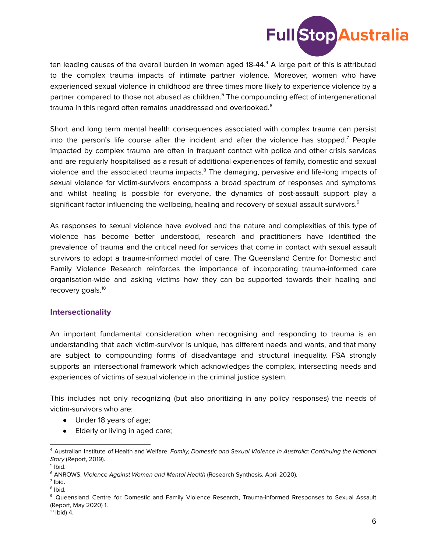

ten leading causes of the overall burden in women aged 18-44. <sup>4</sup> A large part of this is attributed to the complex trauma impacts of intimate partner violence. Moreover, women who have experienced sexual violence in childhood are three times more likely to experience violence by a partner compared to those not abused as children.<sup>5</sup> The compounding effect of intergenerational trauma in this regard often remains unaddressed and overlooked. $^{\rm 6}$ 

Short and long term mental health consequences associated with complex trauma can persist into the person's life course after the incident and after the violence has stopped.<sup>7</sup> People impacted by complex trauma are often in frequent contact with police and other crisis services and are regularly hospitalised as a result of additional experiences of family, domestic and sexual violence and the associated trauma impacts.<sup>8</sup> The damaging, pervasive and life-long impacts of sexual violence for victim-survivors encompass a broad spectrum of responses and symptoms and whilst healing is possible for everyone, the dynamics of post-assault support play a significant factor influencing the wellbeing, healing and recovery of sexual assault survivors. $^9$ 

As responses to sexual violence have evolved and the nature and complexities of this type of violence has become better understood, research and practitioners have identified the prevalence of trauma and the critical need for services that come in contact with sexual assault survivors to adopt a trauma-informed model of care. The Queensland Centre for Domestic and Family Violence Research reinforces the importance of incorporating trauma-informed care organisation-wide and asking victims how they can be supported towards their healing and recovery goals.<sup>10</sup>

#### **Intersectionality**

An important fundamental consideration when recognising and responding to trauma is an understanding that each victim-survivor is unique, has different needs and wants, and that many are subject to compounding forms of disadvantage and structural inequality. FSA strongly supports an intersectional framework which acknowledges the complex, intersecting needs and experiences of victims of sexual violence in the criminal justice system.

This includes not only recognizing (but also prioritizing in any policy responses) the needs of victim-survivors who are:

- Under 18 years of age;
- Elderly or living in aged care;

<sup>&</sup>lt;sup>4</sup> Australian Institute of Health and Welfare, Family, Domestic and Sexual Violence in Australia: Continuing the National Story (Report, 2019).

<sup>&</sup>lt;sup>5</sup> Ibid.

<sup>&</sup>lt;sup>6</sup> ANROWS, Violence Against Women and Mental Health (Research Synthesis, April 2020).

 $<sup>7</sup>$  Ibid.</sup>

<sup>&</sup>lt;sup>8</sup> Ibid.

<sup>&</sup>lt;sup>9</sup> Queensland Centre for Domestic and Family Violence Research, Trauma-informed Rresponses to Sexual Assault (Report, May 2020) 1.

<sup>&</sup>lt;sup>10</sup> Ibid) 4.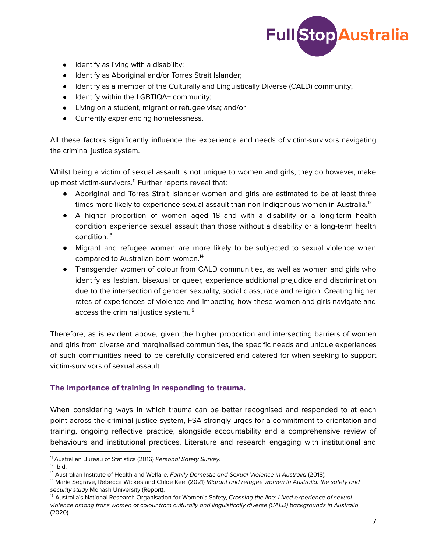

- Identify as living with a disability;
- Identify as Aboriginal and/or Torres Strait Islander;
- Identify as a member of the Culturally and Linguistically Diverse (CALD) community;
- Identify within the LGBTIQA+ community;
- Living on a student, migrant or refugee visa; and/or
- Currently experiencing homelessness.

All these factors significantly influence the experience and needs of victim-survivors navigating the criminal justice system.

Whilst being a victim of sexual assault is not unique to women and girls, they do however, make up most victim-survivors.<sup>11</sup> Further reports reveal that:

- Aboriginal and Torres Strait Islander women and girls are estimated to be at least three times more likely to experience sexual assault than non-Indigenous women in Australia.<sup>12</sup>
- A higher proportion of women aged 18 and with a disability or a long-term health condition experience sexual assault than those without a disability or a long-term health condition. 13
- Migrant and refugee women are more likely to be subjected to sexual violence when compared to Australian-born women. 14
- Transgender women of colour from CALD communities, as well as women and girls who identify as lesbian, bisexual or queer, experience additional prejudice and discrimination due to the intersection of gender, sexuality, social class, race and religion. Creating higher rates of experiences of violence and impacting how these women and girls navigate and access the criminal justice system. 15

Therefore, as is evident above, given the higher proportion and intersecting barriers of women and girls from diverse and marginalised communities, the specific needs and unique experiences of such communities need to be carefully considered and catered for when seeking to support victim-survivors of sexual assault.

#### **The importance of training in responding to trauma.**

When considering ways in which trauma can be better recognised and responded to at each point across the criminal justice system, FSA strongly urges for a commitment to orientation and training, ongoing reflective practice, alongside accountability and a comprehensive review of behaviours and institutional practices. Literature and research engaging with institutional and

<sup>&</sup>lt;sup>11</sup> Australian Bureau of Statistics (2016) Personal Safety Survey.

 $12$  lbid.

<sup>&</sup>lt;sup>13</sup> Australian Institute of Health and Welfare, Family Domestic and Sexual Violence in Australia (2018).

<sup>&</sup>lt;sup>14</sup> Marie Segrave, Rebecca Wickes and Chloe Keel (2021) Migrant and refugee women in Australia: the safety and security study Monash University (Report).

<sup>&</sup>lt;sup>15</sup> Australia's National Research Organisation for Women's Safety, Crossing the line: Lived experience of sexual violence among trans women of colour from culturally and linguistically diverse (CALD) backgrounds in Australia (2020).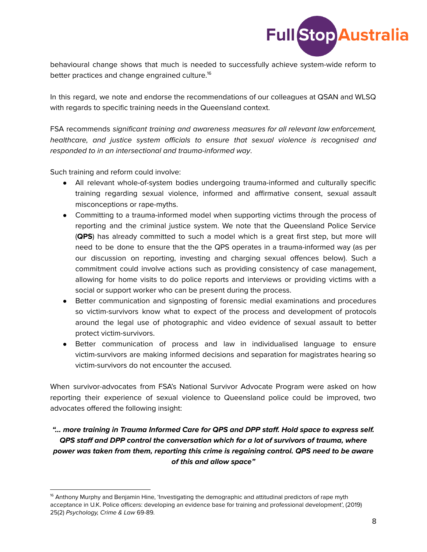

behavioural change shows that much is needed to successfully achieve system-wide reform to better practices and change engrained culture. 16

In this regard, we note and endorse the recommendations of our colleagues at QSAN and WLSQ with regards to specific training needs in the Queensland context.

FSA recommends significant training and awareness measures for all relevant law enforcement, healthcare, and justice system officials to ensure that sexual violence is recognised and responded to in an intersectional and trauma-informed way.

Such training and reform could involve:

- All relevant whole-of-system bodies undergoing trauma-informed and culturally specific training regarding sexual violence, informed and affirmative consent, sexual assault misconceptions or rape-myths.
- Committing to a trauma-informed model when supporting victims through the process of reporting and the criminal justice system. We note that the Queensland Police Service (**QPS**) has already committed to such a model which is a great first step, but more will need to be done to ensure that the the QPS operates in a trauma-informed way (as per our discussion on reporting, investing and charging sexual offences below). Such a commitment could involve actions such as providing consistency of case management, allowing for home visits to do police reports and interviews or providing victims with a social or support worker who can be present during the process.
- Better communication and signposting of forensic medial examinations and procedures so victim-survivors know what to expect of the process and development of protocols around the legal use of photographic and video evidence of sexual assault to better protect victim-survivors.
- Better communication of process and law in individualised language to ensure victim-survivors are making informed decisions and separation for magistrates hearing so victim-survivors do not encounter the accused.

When survivor-advocates from FSA's National Survivor Advocate Program were asked on how reporting their experience of sexual violence to Queensland police could be improved, two advocates offered the following insight:

## **"… more training in Trauma Informed Care for QPS and DPP staff. Hold space to express self. QPS staff and DPP control the conversation which for a lot of survivors of trauma, where power was taken from them, reporting this crime is regaining control. QPS need to be aware of this and allow space"**

<sup>&</sup>lt;sup>16</sup> Anthony Murphy and Benjamin Hine, 'Investigating the demographic and attitudinal predictors of rape myth acceptance in U.K. Police officers: developing an evidence base for training and professional development', (2019) 25(2) Psychology, Crime & Law 69-89.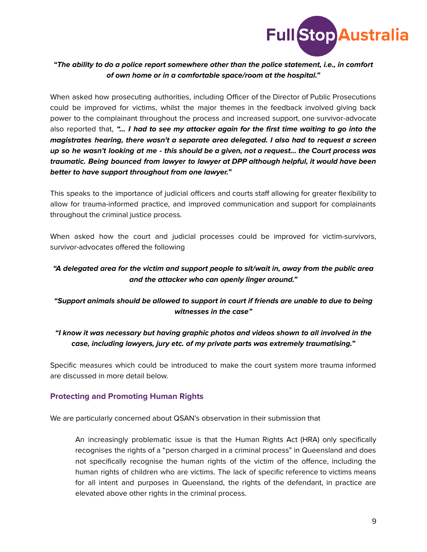

### **"The ability to do a police report somewhere other than the police statement, i.e., in comfort of own home or in a comfortable space/room at the hospital."**

When asked how prosecuting authorities, including Officer of the Director of Public Prosecutions could be improved for victims, whilst the major themes in the feedback involved giving back power to the complainant throughout the process and increased support, one survivor-advocate also reported that, **"… I had to see my attacker again for the first time waiting to go into the magistrates hearing, there wasn't a separate area delegated. I also had to request a screen** up so he wasn't looking at me - this should be a given, not a request... the Court process was **traumatic. Being bounced from lawyer to lawyer at DPP although helpful, it would have been better to have support throughout from one lawyer."**

This speaks to the importance of judicial officers and courts staff allowing for greater flexibility to allow for trauma-informed practice, and improved communication and support for complainants throughout the criminal justice process.

When asked how the court and judicial processes could be improved for victim-survivors, survivor-advocates offered the following

## **"A delegated area for the victim and support people to sit/wait in, away from the public area and the attacker who can openly linger around."**

## **"Support animals should be allowed to support in court if friends are unable to due to being witnesses in the case"**

## **"I know it was necessary but having graphic photos and videos shown to all involved in the case, including lawyers, jury etc. of my private parts was extremely traumatising."**

Specific measures which could be introduced to make the court system more trauma informed are discussed in more detail below.

## **Protecting and Promoting Human Rights**

We are particularly concerned about QSAN's observation in their submission that

An increasingly problematic issue is that the Human Rights Act (HRA) only specifically recognises the rights of a "person charged in a criminal process" in Queensland and does not specifically recognise the human rights of the victim of the offence, including the human rights of children who are victims. The lack of specific reference to victims means for all intent and purposes in Queensland, the rights of the defendant, in practice are elevated above other rights in the criminal process.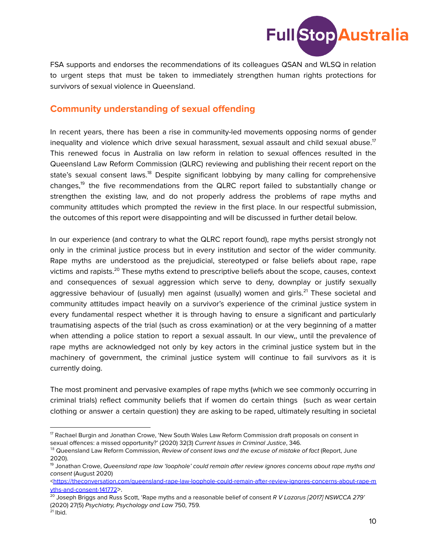

FSA supports and endorses the recommendations of its colleagues QSAN and WLSQ in relation to urgent steps that must be taken to immediately strengthen human rights protections for survivors of sexual violence in Queensland.

# **Community understanding of sexual offending**

In recent years, there has been a rise in community-led movements opposing norms of gender inequality and violence which drive sexual harassment, sexual assault and child sexual abuse. $^{\textrm{\textsf{17}}}$ This renewed focus in Australia on law reform in relation to sexual offences resulted in the Queensland Law Reform Commission (QLRC) reviewing and publishing their recent report on the state's sexual consent laws.<sup>18</sup> Despite significant lobbying by many calling for comprehensive changes,<sup>19</sup> the five recommendations from the QLRC report failed to substantially change or strengthen the existing law, and do not properly address the problems of rape myths and community attitudes which prompted the review in the first place. In our respectful submission, the outcomes of this report were disappointing and will be discussed in further detail below.

In our experience (and contrary to what the QLRC report found), rape myths persist strongly not only in the criminal justice process but in every institution and sector of the wider community. Rape myths are understood as the prejudicial, stereotyped or false beliefs about rape, rape victims and rapists.<sup>20</sup> These myths extend to prescriptive beliefs about the scope, causes, context and consequences of sexual aggression which serve to deny, downplay or justify sexually aggressive behaviour of (usually) men against (usually) women and girls.<sup>21</sup> These societal and community attitudes impact heavily on a survivor's experience of the criminal justice system in every fundamental respect whether it is through having to ensure a significant and particularly traumatising aspects of the trial (such as cross examination) or at the very beginning of a matter when attending a police station to report a sexual assault. In our view,, until the prevalence of rape myths are acknowledged not only by key actors in the criminal justice system but in the machinery of government, the criminal justice system will continue to fail survivors as it is currently doing.

The most prominent and pervasive examples of rape myths (which we see commonly occurring in criminal trials) reflect community beliefs that if women do certain things (such as wear certain clothing or answer a certain question) they are asking to be raped, ultimately resulting in societal

 $17$  Rachael Burgin and Jonathan Crowe, 'New South Wales Law Reform Commission draft proposals on consent in sexual offences: a missed opportunity?' (2020) 32(3) Current Issues in Criminal Justice, 346.

<sup>&</sup>lt;sup>18</sup> Queensland Law Reform Commission, *Review of consent laws and the excuse of mistake of fact (Report, June* 2020).

<sup>&</sup>lt;sup>19</sup> Jonathan Crowe, Queensland rape law 'loophole' could remain after review ignores concerns about rape myths and consent (August 2020)

<sup>&</sup>lt;https://theconversation.com/queensland-rape-law-loophole-could-remain-after-review-ignores-concerns-about-rape-m yths-and-consent-141772>.

 $^{20}$  Joseph Briggs and Russ Scott, 'Rape myths and a reasonable belief of consent R V Lazarus [2017] NSWCCA 279' (2020) 27(5) Psychiatry, Psychology and Law 750, 759.

 $21$  lbid.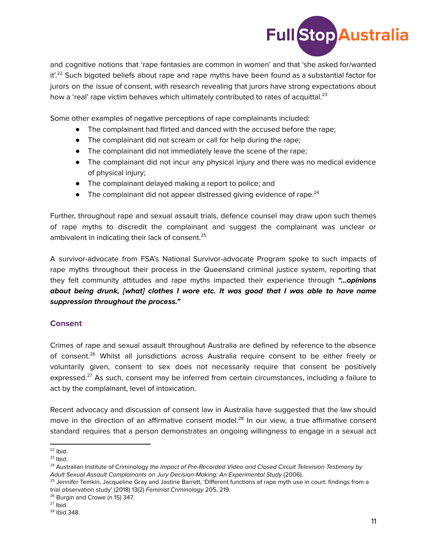

and cognitive notions that 'rape fantasies are common in women' and that 'she asked for/wanted it'.<sup>22</sup> Such bigoted beliefs about rape and rape myths have been found as a substantial factor for jurors on the issue of consent, with research revealing that jurors have strong expectations about how a 'real' rape victim behaves which ultimately contributed to rates of acquittal.<sup>23</sup>

Some other examples of negative perceptions of rape complainants included:

- The complainant had flirted and danced with the accused before the rape;
- The complainant did not scream or call for help during the rape;
- The complainant did not immediately leave the scene of the rape;
- The complainant did not incur any physical injury and there was no medical evidence of physical injury;
- The complainant delayed making a report to police; and
- $\bullet$  The complainant did not appear distressed giving evidence of rape.<sup>24</sup>

Further, throughout rape and sexual assault trials, defence counsel may draw upon such themes of rape myths to discredit the complainant and suggest the complainant was unclear or ambivalent in indicating their lack of consent. 25

A survivor-advocate from FSA's National Survivor-advocate Program spoke to such impacts of rape myths throughout their process in the Queensland criminal justice system, reporting that they felt community attitudes and rape myths impacted their experience through **"…opinions about being drunk, [what] clothes I wore etc. It was good that I was able to have name suppression throughout the process."**

#### **Consent**

Crimes of rape and sexual assault throughout Australia are defined by reference to the absence of consent. <sup>26</sup> Whilst all jurisdictions across Australia require consent to be either freely or voluntarily given, consent to sex does not necessarily require that consent be positively expressed.<sup>27</sup> As such, consent may be inferred from certain circumstances, including a failure to act by the complainant, level of intoxication.

Recent advocacy and discussion of consent law in Australia have suggested that the law should move in the direction of an affirmative consent model.<sup>28</sup> In our view, a true affirmative consent standard requires that a person demonstrates an ongoing willingness to engage in a sexual act

 $22$  lbid.

 $23$  lbid.

<sup>&</sup>lt;sup>24</sup> Australian Institute of Criminology the Impact of Pre-Recorded Video and Closed Circuit Television Testimony by Adult Sexual Assault Complainants on Jury Decision-Making: An Experimental Study (2006).

<sup>&</sup>lt;sup>25</sup> Jennifer Temkin, Jacqueline Gray and Jastine Barrett, 'Different functions of rape myth use in court: findings from a trial observation study' (2018) 13(2) Feminist Criminology 205, 219.

<sup>&</sup>lt;sup>26</sup> Burgin and Crowe (n 15) 347.

 $27$  lbid.

<sup>&</sup>lt;sup>28</sup> Ibid 348.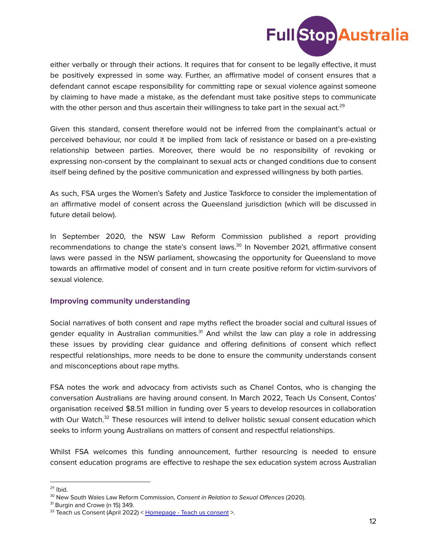

either verbally or through their actions. It requires that for consent to be legally effective, it must be positively expressed in some way. Further, an affirmative model of consent ensures that a defendant cannot escape responsibility for committing rape or sexual violence against someone by claiming to have made a mistake, as the defendant must take positive steps to communicate with the other person and thus ascertain their willingness to take part in the sexual act. $^{29}$ 

Given this standard, consent therefore would not be inferred from the complainant's actual or perceived behaviour, nor could it be implied from lack of resistance or based on a pre-existing relationship between parties. Moreover, there would be no responsibility of revoking or expressing non-consent by the complainant to sexual acts or changed conditions due to consent itself being defined by the positive communication and expressed willingness by both parties.

As such, FSA urges the Women's Safety and Justice Taskforce to consider the implementation of an affirmative model of consent across the Queensland jurisdiction (which will be discussed in future detail below).

In September 2020, the NSW Law Reform Commission published a report providing recommendations to change the state's consent laws.<sup>30</sup> In November 2021, affirmative consent laws were passed in the NSW parliament, showcasing the opportunity for Queensland to move towards an affirmative model of consent and in turn create positive reform for victim-survivors of sexual violence.

#### **Improving community understanding**

Social narratives of both consent and rape myths reflect the broader social and cultural issues of gender equality in Australian communities.<sup>31</sup> And whilst the law can play a role in addressing these issues by providing clear guidance and offering definitions of consent which reflect respectful relationships, more needs to be done to ensure the community understands consent and misconceptions about rape myths.

FSA notes the work and advocacy from activists such as Chanel Contos, who is changing the conversation Australians are having around consent. In March 2022, Teach Us Consent, Contos' organisation received \$8.51 million in funding over 5 years to develop resources in collaboration with Our Watch.<sup>32</sup> These resources will intend to deliver holistic sexual consent education which seeks to inform young Australians on matters of consent and respectful relationships.

Whilst FSA welcomes this funding announcement, further resourcing is needed to ensure consent education programs are effective to reshape the sex education system across Australian

<sup>&</sup>lt;sup>29</sup> lbid.

<sup>&</sup>lt;sup>30</sup> New South Wales Law Reform Commission, Consent in Relation to Sexual Offences (2020).

<sup>&</sup>lt;sup>31</sup> Burgin and Crowe (n 15) 349.

 $32$  Teach us Consent (April 2022) < Homepage - Teach us consent >.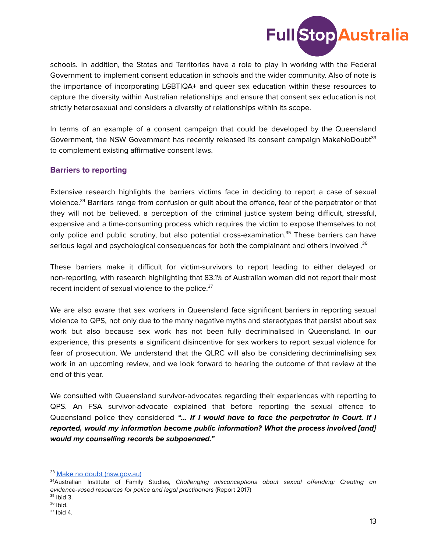

schools. In addition, the States and Territories have a role to play in working with the Federal Government to implement consent education in schools and the wider community. Also of note is the importance of incorporating LGBTIQA+ and queer sex education within these resources to capture the diversity within Australian relationships and ensure that consent sex education is not strictly heterosexual and considers a diversity of relationships within its scope.

In terms of an example of a consent campaign that could be developed by the Queensland Government, the NSW Government has recently released its consent campaign MakeNoDoubt<sup>33</sup> to complement existing affirmative consent laws.

#### **Barriers to reporting**

Extensive research highlights the barriers victims face in deciding to report a case of sexual violence.<sup>34</sup> Barriers range from confusion or guilt about the offence, fear of the perpetrator or that they will not be believed, a perception of the criminal justice system being difficult, stressful, expensive and a time-consuming process which requires the victim to expose themselves to not only police and public scrutiny, but also potential cross-examination. <sup>35</sup> These barriers can have serious legal and psychological consequences for both the complainant and others involved . $^{36}$ 

These barriers make it difficult for victim-survivors to report leading to either delayed or non-reporting, with research highlighting that 83.1% of Australian women did not report their most recent incident of sexual violence to the police.<sup>37</sup>

We are also aware that sex workers in Queensland face significant barriers in reporting sexual violence to QPS, not only due to the many negative myths and stereotypes that persist about sex work but also because sex work has not been fully decriminalised in Queensland. In our experience, this presents a significant disincentive for sex workers to report sexual violence for fear of prosecution. We understand that the QLRC will also be considering decriminalising sex work in an upcoming review, and we look forward to hearing the outcome of that review at the end of this year.

We consulted with Queensland survivor-advocates regarding their experiences with reporting to QPS. An FSA survivor-advocate explained that before reporting the sexual offence to Queensland police they considered **"… If I would have to face the perpetrator in Court. If I reported, would my information become public information? What the process involved [and] would my counselling records be subpoenaed."**

<sup>33</sup> Make no doubt (nsw.gov.au)

<sup>&</sup>lt;sup>34</sup>Australian Institute of Family Studies, Challenging misconceptions about sexual offending: Creating an evidence-vased resources for police and legal practitioners (Report 2017)

<sup>35</sup> Ibid 3.

<sup>&</sup>lt;sup>36</sup> Ibid.

 $37$  lbid 4.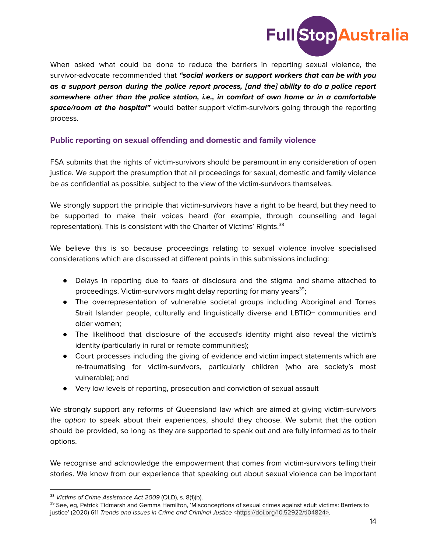

When asked what could be done to reduce the barriers in reporting sexual violence, the survivor-advocate recommended that **"social workers or support workers that can be with you as a support person during the police report process, [and the] ability to do a police report somewhere other than the police station, i.e., in comfort of own home or in a comfortable space/room at the hospital"** would better support victim-survivors going through the reporting process.

#### **Public reporting on sexual offending and domestic and family violence**

FSA submits that the rights of victim-survivors should be paramount in any consideration of open justice. We support the presumption that all proceedings for sexual, domestic and family violence be as confidential as possible, subject to the view of the victim-survivors themselves.

We strongly support the principle that victim-survivors have a right to be heard, but they need to be supported to make their voices heard (for example, through counselling and legal representation). This is consistent with the Charter of Victims' Rights.<sup>38</sup>

We believe this is so because proceedings relating to sexual violence involve specialised considerations which are discussed at different points in this submissions including:

- Delays in reporting due to fears of disclosure and the stigma and shame attached to proceedings. Victim-survivors might delay reporting for many years<sup>39</sup>;
- The overrepresentation of vulnerable societal groups including Aboriginal and Torres Strait Islander people, culturally and linguistically diverse and LBTIQ+ communities and older women;
- The likelihood that disclosure of the accused's identity might also reveal the victim's identity (particularly in rural or remote communities);
- Court processes including the giving of evidence and victim impact statements which are re-traumatising for victim-survivors, particularly children (who are society's most vulnerable); and
- Very low levels of reporting, prosecution and conviction of sexual assault

We strongly support any reforms of Queensland law which are aimed at giving victim-survivors the option to speak about their experiences, should they choose. We submit that the option should be provided, so long as they are supported to speak out and are fully informed as to their options.

We recognise and acknowledge the empowerment that comes from victim-survivors telling their stories. We know from our experience that speaking out about sexual violence can be important

<sup>&</sup>lt;sup>38</sup> Victims of Crime Assistance Act 2009 (QLD), s. 8(1)(b).

<sup>&</sup>lt;sup>39</sup> See, eg, Patrick Tidmarsh and Gemma Hamilton, 'Misconceptions of sexual crimes against adult victims: Barriers to justice' (2020) 611 Trends and Issues in Crime and Criminal Justice <https://doi.org/10.52922/ti04824>.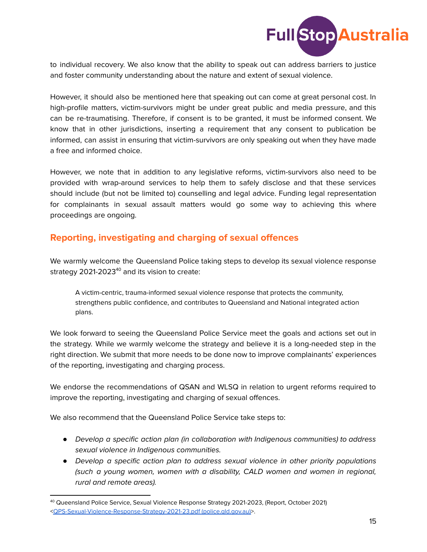

to individual recovery. We also know that the ability to speak out can address barriers to justice and foster community understanding about the nature and extent of sexual violence.

However, it should also be mentioned here that speaking out can come at great personal cost. In high-profile matters, victim-survivors might be under great public and media pressure, and this can be re-traumatising. Therefore, if consent is to be granted, it must be informed consent. We know that in other jurisdictions, inserting a requirement that any consent to publication be informed, can assist in ensuring that victim-survivors are only speaking out when they have made a free and informed choice.

However, we note that in addition to any legislative reforms, victim-survivors also need to be provided with wrap-around services to help them to safely disclose and that these services should include (but not be limited to) counselling and legal advice. Funding legal representation for complainants in sexual assault matters would go some way to achieving this where proceedings are ongoing.

# **Reporting, investigating and charging of sexual offences**

We warmly welcome the Queensland Police taking steps to develop its sexual violence response strategy 2021-2023 <sup>40</sup> and its vision to create:

A victim-centric, trauma-informed sexual violence response that protects the community, strengthens public confidence, and contributes to Queensland and National integrated action plans.

We look forward to seeing the Queensland Police Service meet the goals and actions set out in the strategy. While we warmly welcome the strategy and believe it is a long-needed step in the right direction. We submit that more needs to be done now to improve complainants' experiences of the reporting, investigating and charging process.

We endorse the recommendations of QSAN and WLSQ in relation to urgent reforms required to improve the reporting, investigating and charging of sexual offences.

We also recommend that the Queensland Police Service take steps to:

- *●* Develop a specific action plan (in collaboration with Indigenous communities) to address sexual violence in Indigenous communities.
- *●* Develop a specific action plan to address sexual violence in other priority populations (such a young women, women with a disability, CALD women and women in regional, rural and remote areas).

<sup>40</sup> Queensland Police Service, Sexual Violence Response Strategy 2021-2023, (Report, October 2021) <QPS-Sexual-Violence-Response-Strategy-2021-23.pdf (police.qld.gov.au)>.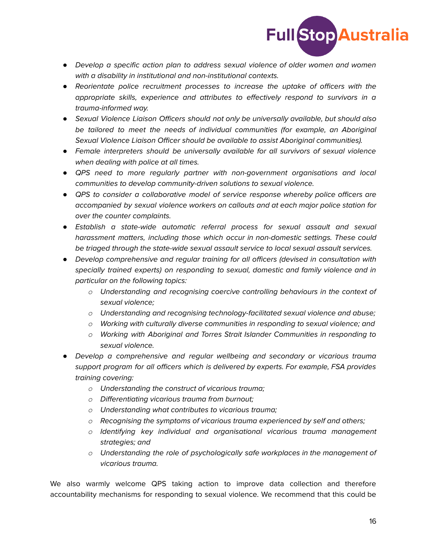

- *●* Develop a specific action plan to address sexual violence of older women and women with a disability in institutional and non-institutional contexts.
- *●* Reorientate police recruitment processes to increase the uptake of officers with the appropriate skills, experience and attributes to effectively respond to survivors in a trauma-informed way.
- *●* Sexual Violence Liaison Officers should not only be universally available, but should also be tailored to meet the needs of individual communities (for example, an Aboriginal Sexual Violence Liaison Officer should be available to assist Aboriginal communities).
- *●* Female interpreters should be universally available for all survivors of sexual violence when dealing with police at all times.
- *●* QPS need to more regularly partner with non-government organisations and local communities to develop community-driven solutions to sexual violence.
- *●* QPS to consider a collaborative model of service response whereby police officers are accompanied by sexual violence workers on callouts and at each major police station for over the counter complaints.
- *●* Establish a state-wide automatic referral process for sexual assault and sexual harassment matters, including those which occur in non-domestic settings. These could be triaged through the state-wide sexual assault service to local sexual assault services.
- *●* Develop comprehensive and regular training for all officers (devised in consultation with specially trained experts) on responding to sexual, domestic and family violence and in particular on the following topics:
	- *o* Understanding and recognising coercive controlling behaviours in the context of sexual violence;
	- *o* Understanding and recognising technology-facilitated sexual violence and abuse;
	- *o* Working with culturally diverse communities in responding to sexual violence; and
	- *o* Working with Aboriginal and Torres Strait Islander Communities in responding to sexual violence.
- *●* Develop a comprehensive and regular wellbeing and secondary or vicarious trauma support program for all officers which is delivered by experts. For example, FSA provides training covering:
	- *o* Understanding the construct of vicarious trauma;
	- *o* Differentiating vicarious trauma from burnout;
	- *o* Understanding what contributes to vicarious trauma;
	- *o* Recognising the symptoms of vicarious trauma experienced by self and others;
	- *o* Identifying key individual and organisational vicarious trauma management strategies; and
	- *o* Understanding the role of psychologically safe workplaces in the management of vicarious trauma.

We also warmly welcome QPS taking action to improve data collection and therefore accountability mechanisms for responding to sexual violence. We recommend that this could be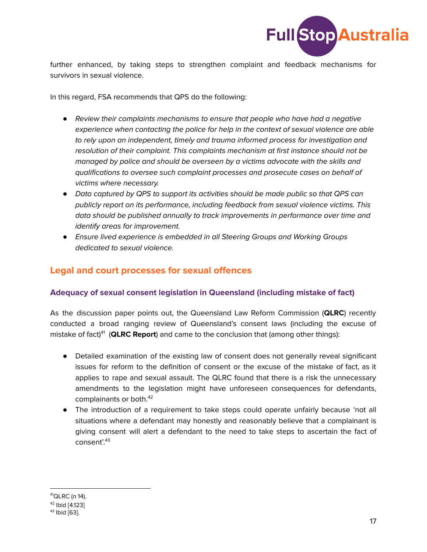

further enhanced, by taking steps to strengthen complaint and feedback mechanisms for survivors in sexual violence.

In this regard, FSA recommends that QPS do the following:

- *●* Review their complaints mechanisms to ensure that people who have had a negative experience when contacting the police for help in the context of sexual violence are able to rely upon an independent, timely and trauma informed process for investigation and resolution of their complaint. This complaints mechanism at first instance should not be managed by police and should be overseen by a victims advocate with the skills and qualifications to oversee such complaint processes and prosecute cases on behalf of victims where necessary.
- *●* Data captured by QPS to support its activities should be made public so that QPS can publicly report on its performance, including feedback from sexual violence victims. This data should be published annually to track improvements in performance over time and identify areas for improvement.
- *●* Ensure lived experience is embedded in all Steering Groups and Working Groups dedicated to sexual violence.

# **Legal and court processes for sexual offences**

#### **Adequacy of sexual consent legislation in Queensland (including mistake of fact)**

As the discussion paper points out, the Queensland Law Reform Commission (**QLRC**) recently conducted a broad ranging review of Queensland's consent laws (including the excuse of mistake of fact) 41 (**QLRC Report**) and came to the conclusion that (among other things):

- Detailed examination of the existing law of consent does not generally reveal significant issues for reform to the definition of consent or the excuse of the mistake of fact, as it applies to rape and sexual assault. The QLRC found that there is a risk the unnecessary amendments to the legislation might have unforeseen consequences for defendants, complainants or both. 42
- The introduction of a requirement to take steps could operate unfairly because 'not all situations where a defendant may honestly and reasonably believe that a complainant is giving consent will alert a defendant to the need to take steps to ascertain the fact of consent'. 43

 $41$ QLRC (n 14).

<sup>42</sup> Ibid [4.123]

<sup>&</sup>lt;sup>43</sup> Ibid [63].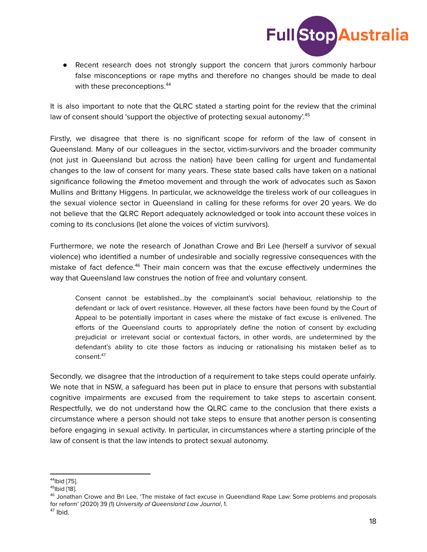

● Recent research does not strongly support the concern that jurors commonly harbour false misconceptions or rape myths and therefore no changes should be made to deal with these preconceptions. 44

It is also important to note that the QLRC stated a starting point for the review that the criminal law of consent should 'support the objective of protecting sexual autonomy'.<sup>45</sup>

Firstly, we disagree that there is no significant scope for reform of the law of consent in Queensland. Many of our colleagues in the sector, victim-survivors and the broader community (not just in Queensland but across the nation) have been calling for urgent and fundamental changes to the law of consent for many years. These state based calls have taken on a national significance following the #metoo movement and through the work of advocates such as Saxon Mullins and Brittany Higgens. In particular, we acknoweldge the tireless work of our colleagues in the sexual violence sector in Queensland in calling for these reforms for over 20 years. We do not believe that the QLRC Report adequately acknowledged or took into account these voices in coming to its conclusions (let alone the voices of victim survivors).

Furthermore, we note the research of Jonathan Crowe and Bri Lee (herself a survivor of sexual violence) who identified a number of undesirable and socially regressive consequences with the mistake of fact defence.<sup>46</sup> Their main concern was that the excuse effectively undermines the way that Queensland law construes the notion of free and voluntary consent.

Consent cannot be established…by the complainant's social behaviour, relationship to the defendant or lack of overt resistance. However, all these factors have been found by the Court of Appeal to be potentially important in cases where the mistake of fact excuse is enlivened. The efforts of the Queensland courts to appropriately define the notion of consent by excluding prejudicial or irrelevant social or contextual factors, in other words, are undetermined by the defendant's ability to cite those factors as inducing or rationalising his mistaken belief as to consent. 47

Secondly, we disagree that the introduction of a requirement to take steps could operate unfairly. We note that in NSW, a safeguard has been put in place to ensure that persons with substantial cognitive impairments are excused from the requirement to take steps to ascertain consent. Respectfully, we do not understand how the QLRC came to the conclusion that there exists a circumstance where a person should not take steps to ensure that another person is consenting before engaging in sexual activity. In particular, in circumstances where a starting principle of the law of consent is that the law intends to protect sexual autonomy.

<sup>&</sup>lt;sup>44</sup>lbid [75].

<sup>&</sup>lt;sup>45</sup>lbid [18].

<sup>&</sup>lt;sup>46</sup> Jonathan Crowe and Bri Lee, 'The mistake of fact excuse in Queendland Rape Law: Some problems and proposals for reform' (2020) 39 (1) University of Queensland Law Journal, 1.

<sup>&</sup>lt;sup>47</sup> Ibid.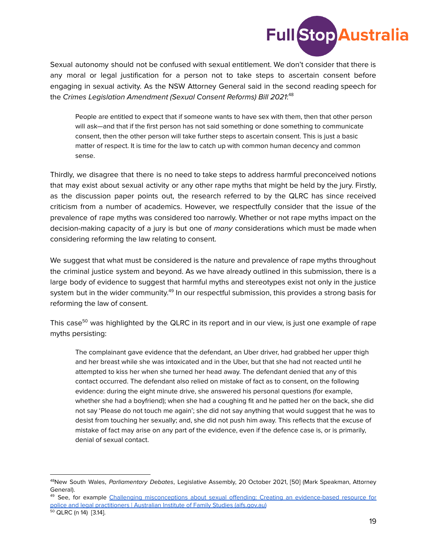

Sexual autonomy should not be confused with sexual entitlement. We don't consider that there is any moral or legal justification for a person not to take steps to ascertain consent before engaging in sexual activity. As the NSW Attorney General said in the second reading speech for the Crimes Legislation Amendment (Sexual Consent Reforms) Bill 2021:<sup>48</sup>

People are entitled to expect that if someone wants to have sex with them, then that other person will ask—and that if the first person has not said something or done something to communicate consent, then the other person will take further steps to ascertain consent. This is just a basic matter of respect. It is time for the law to catch up with common human decency and common sense.

Thirdly, we disagree that there is no need to take steps to address harmful preconceived notions that may exist about sexual activity or any other rape myths that might be held by the jury. Firstly, as the discussion paper points out, the research referred to by the QLRC has since received criticism from a number of academics. However, we respectfully consider that the issue of the prevalence of rape myths was considered too narrowly. Whether or not rape myths impact on the decision-making capacity of a jury is but one of many considerations which must be made when considering reforming the law relating to consent.

We suggest that what must be considered is the nature and prevalence of rape myths throughout the criminal justice system and beyond. As we have already outlined in this submission, there is a large body of evidence to suggest that harmful myths and stereotypes exist not only in the justice system but in the wider community.<sup>49</sup> In our respectful submission, this provides a strong basis for reforming the law of consent.

This case $^{\rm 50}$  was highlighted by the QLRC in its report and in our view, is just one example of rape myths persisting:

The complainant gave evidence that the defendant, an Uber driver, had grabbed her upper thigh and her breast while she was intoxicated and in the Uber, but that she had not reacted until he attempted to kiss her when she turned her head away. The defendant denied that any of this contact occurred. The defendant also relied on mistake of fact as to consent, on the following evidence: during the eight minute drive, she answered his personal questions (for example, whether she had a boyfriend); when she had a coughing fit and he patted her on the back, she did not say 'Please do not touch me again'; she did not say anything that would suggest that he was to desist from touching her sexually; and, she did not push him away. This reflects that the excuse of mistake of fact may arise on any part of the evidence, even if the defence case is, or is primarily, denial of sexual contact.

<sup>&</sup>lt;sup>48</sup>New South Wales, Parliamentary Debates, Legislative Assembly, 20 October 2021, [50] (Mark Speakman, Attorney General).

<sup>&</sup>lt;sup>49</sup> See, for example Challenging misconceptions about sexual offending: Creating an evidence-based resource for police and legal practitioners | Australian Institute of Family Studies (aifs.gov.au)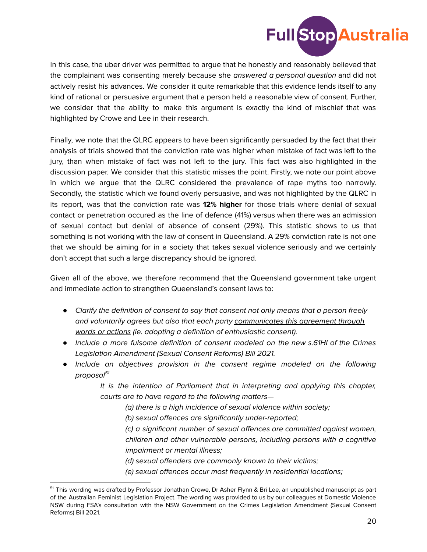

In this case, the uber driver was permitted to argue that he honestly and reasonably believed that the complainant was consenting merely because she answered a personal question and did not actively resist his advances. We consider it quite remarkable that this evidence lends itself to any kind of rational or persuasive argument that a person held a reasonable view of consent. Further, we consider that the ability to make this argument is exactly the kind of mischief that was highlighted by Crowe and Lee in their research.

Finally, we note that the QLRC appears to have been significantly persuaded by the fact that their analysis of trials showed that the conviction rate was higher when mistake of fact was left to the jury, than when mistake of fact was not left to the jury. This fact was also highlighted in the discussion paper. We consider that this statistic misses the point. Firstly, we note our point above in which we argue that the QLRC considered the prevalence of rape myths too narrowly. Secondly, the statistic which we found overly persuasive, and was not highlighted by the QLRC in its report, was that the conviction rate was **12% higher** for those trials where denial of sexual contact or penetration occured as the line of defence (41%) versus when there was an admission of sexual contact but denial of absence of consent (29%). This statistic shows to us that something is not working with the law of consent in Queensland. A 29% conviction rate is not one that we should be aiming for in a society that takes sexual violence seriously and we certainly don't accept that such a large discrepancy should be ignored.

Given all of the above, we therefore recommend that the Queensland government take urgent and immediate action to strengthen Queensland's consent laws to:

- *●* Clarify the definition of consent to say that consent not only means that a person freely and voluntarily agrees but also that each party communicates this agreement through words or actions (ie. adopting a definition of enthusiastic consent).
- *●* Include a more fulsome definition of consent modeled on the new s.61HI of the Crimes Legislation Amendment (Sexual Consent Reforms) Bill 2021.
- *●* Include an objectives provision in the consent regime modeled on the following proposal<sup>51</sup>

It is the intention of Parliament that in interpreting and applying this chapter, courts are to have regard to the following matters—

- (a) there is a high incidence of sexual violence within society;
- (b) sexual offences are significantly under-reported;
- (c) a significant number of sexual offences are committed against women, children and other vulnerable persons, including persons with a cognitive impairment or mental illness;
- (d) sexual offenders are commonly known to their victims;
- (e) sexual offences occur most frequently in residential locations;

<sup>&</sup>lt;sup>51</sup> This wording was drafted by Professor Jonathan Crowe, Dr Asher Flynn & Bri Lee, an unpublished manuscript as part of the Australian Feminist Legislation Project. The wording was provided to us by our colleagues at Domestic Violence NSW during FSA's consultation with the NSW Government on the Crimes Legislation Amendment (Sexual Consent Reforms) Bill 2021.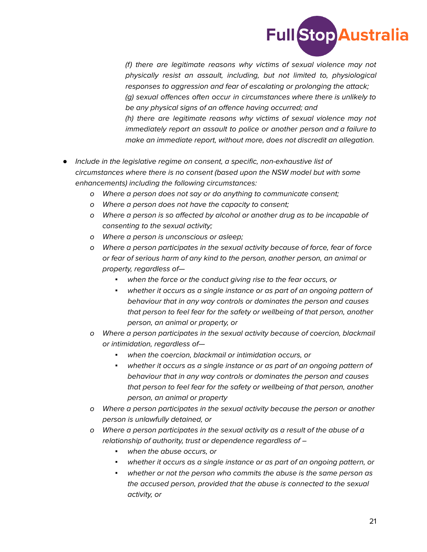

(f) there are legitimate reasons why victims of sexual violence may not physically resist an assault, including, but not limited to, physiological responses to aggression and fear of escalating or prolonging the attack; (g) sexual offences often occur in circumstances where there is unlikely to be any physical signs of an offence having occurred; and (h) there are legitimate reasons why victims of sexual violence may not immediately report an assault to police or another person and a failure to make an immediate report, without more, does not discredit an allegation.

- *●* Include in the legislative regime on consent, a specific, non-exhaustive list of circumstances where there is no consent (based upon the NSW model but with some enhancements) including the following circumstances:
	- o Where a person does not say or do anything to communicate consent;
	- o Where a person does not have the capacity to consent;
	- o Where a person is so affected by alcohol or another drug as to be incapable of consenting to the sexual activity;
	- o Where a person is unconscious or asleep;
	- o Where a person participates in the sexual activity because of force, fear of force or fear of serious harm of any kind to the person, another person, an animal or property, regardless of—
		- *▪* when the force or the conduct giving rise to the fear occurs, or
		- *▪* whether it occurs as a single instance or as part of an ongoing pattern of behaviour that in any way controls or dominates the person and causes that person to feel fear for the safety or wellbeing of that person, another person, an animal or property, or
	- o Where a person participates in the sexual activity because of coercion, blackmail or intimidation, regardless of—
		- *▪* when the coercion, blackmail or intimidation occurs, or
		- *▪* whether it occurs as a single instance or as part of an ongoing pattern of behaviour that in any way controls or dominates the person and causes that person to feel fear for the safety or wellbeing of that person, another person, an animal or property
	- o Where a person participates in the sexual activity because the person or another person is unlawfully detained, or
	- o Where a person participates in the sexual activity as a result of the abuse of a relationship of authority, trust or dependence regardless of –
		- *▪* when the abuse occurs, or
		- *▪* whether it occurs as a single instance or as part of an ongoing pattern, or
		- *▪* whether or not the person who commits the abuse is the same person as the accused person, provided that the abuse is connected to the sexual activity, or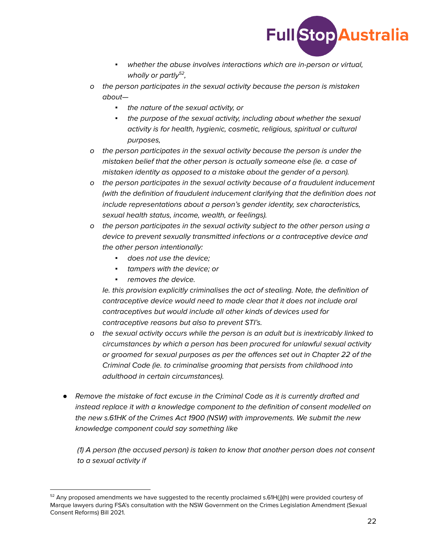

- *▪* whether the abuse involves interactions which are in-person or virtual, wholly or partly<sup>52</sup>,
- o the person participates in the sexual activity because the person is mistaken about—
	- *▪* the nature of the sexual activity, or
	- *▪* the purpose of the sexual activity, including about whether the sexual activity is for health, hygienic, cosmetic, religious, spiritual or cultural purposes,
- o the person participates in the sexual activity because the person is under the mistaken belief that the other person is actually someone else (ie. a case of mistaken identity as opposed to a mistake about the gender of a person).
- o the person participates in the sexual activity because of a fraudulent inducement (with the definition of fraudulent inducement clarifying that the definition does not include representations about a person's gender identity, sex characteristics, sexual health status, income, wealth, or feelings).
- o the person participates in the sexual activity subject to the other person using a device to prevent sexually transmitted infections or a contraceptive device and the other person intentionally:
	- *▪* does not use the device;
	- *▪* tampers with the device; or
	- *▪* removes the device.

Ie. this provision explicitly criminalises the act of stealing. Note, the definition of contraceptive device would need to made clear that it does not include oral contraceptives but would include all other kinds of devices used for contraceptive reasons but also to prevent STI's.

- o the sexual activity occurs while the person is an adult but is inextricably linked to circumstances by which a person has been procured for unlawful sexual activity or groomed for sexual purposes as per the offences set out in Chapter 22 of the Criminal Code (ie. to criminalise grooming that persists from childhood into adulthood in certain circumstances).
- *●* Remove the mistake of fact excuse in the Criminal Code as it is currently drafted and instead replace it with a knowledge component to the definition of consent modelled on the new s.61HK of the Crimes Act 1900 (NSW) with improvements. We submit the new knowledge component could say something like

(1) A person (the accused person) is taken to know that another person does not consent to a sexual activity if

 $52$  Any proposed amendments we have suggested to the recently proclaimed s.61H(j)(h) were provided courtesy of Marque lawyers during FSA's consultation with the NSW Government on the Crimes Legislation Amendment (Sexual Consent Reforms) Bill 2021.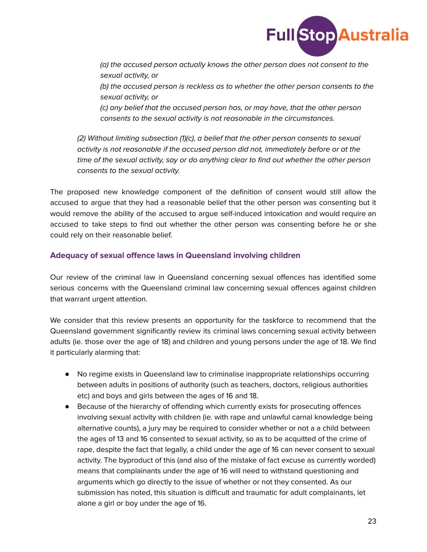

(a) the accused person actually knows the other person does not consent to the sexual activity, or (b) the accused person is reckless as to whether the other person consents to the sexual activity, or (c) any belief that the accused person has, or may have, that the other person

consents to the sexual activity is not reasonable in the circumstances.

(2) Without limiting subsection (1)(c), a belief that the other person consents to sexual activity is not reasonable if the accused person did not, immediately before or at the time of the sexual activity, say or do anything clear to find out whether the other person consents to the sexual activity.

The proposed new knowledge component of the definition of consent would still allow the accused to argue that they had a reasonable belief that the other person was consenting but it would remove the ability of the accused to argue self-induced intoxication and would require an accused to take steps to find out whether the other person was consenting before he or she could rely on their reasonable belief.

#### **Adequacy of sexual offence laws in Queensland involving children**

Our review of the criminal law in Queensland concerning sexual offences has identified some serious concerns with the Queensland criminal law concerning sexual offences against children that warrant urgent attention.

We consider that this review presents an opportunity for the taskforce to recommend that the Queensland government significantly review its criminal laws concerning sexual activity between adults (ie. those over the age of 18) and children and young persons under the age of 18. We find it particularly alarming that:

- No regime exists in Queensland law to criminalise inappropriate relationships occurring between adults in positions of authority (such as teachers, doctors, religious authorities etc) and boys and girls between the ages of 16 and 18.
- Because of the hierarchy of offending which currently exists for prosecuting offences involving sexual activity with children (ie. with rape and unlawful carnal knowledge being alternative counts), a jury may be required to consider whether or not a a child between the ages of 13 and 16 consented to sexual activity, so as to be acquitted of the crime of rape, despite the fact that legally, a child under the age of 16 can never consent to sexual activity. The byproduct of this (and also of the mistake of fact excuse as currently worded) means that complainants under the age of 16 will need to withstand questioning and arguments which go directly to the issue of whether or not they consented. As our submission has noted, this situation is difficult and traumatic for adult complainants, let alone a girl or boy under the age of 16.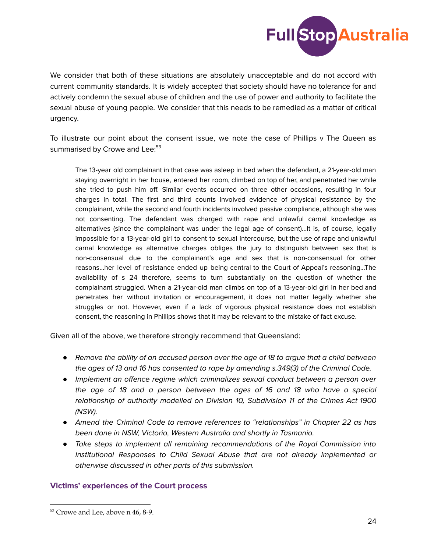

We consider that both of these situations are absolutely unacceptable and do not accord with current community standards. It is widely accepted that society should have no tolerance for and actively condemn the sexual abuse of children and the use of power and authority to facilitate the sexual abuse of young people. We consider that this needs to be remedied as a matter of critical urgency.

To illustrate our point about the consent issue, we note the case of Phillips v The Queen as summarised by Crowe and Lee: 53

The 13-year old complainant in that case was asleep in bed when the defendant, a 21-year-old man staying overnight in her house, entered her room, climbed on top of her, and penetrated her while she tried to push him off. Similar events occurred on three other occasions, resulting in four charges in total. The first and third counts involved evidence of physical resistance by the complainant, while the second and fourth incidents involved passive compliance, although she was not consenting. The defendant was charged with rape and unlawful carnal knowledge as alternatives (since the complainant was under the legal age of consent)...It is, of course, legally impossible for a 13-year-old girl to consent to sexual intercourse, but the use of rape and unlawful carnal knowledge as alternative charges obliges the jury to distinguish between sex that is non-consensual due to the complainant's age and sex that is non-consensual for other reasons…her level of resistance ended up being central to the Court of Appeal's reasoning…The availability of s 24 therefore, seems to turn substantially on the question of whether the complainant struggled. When a 21-year-old man climbs on top of a 13-year-old girl in her bed and penetrates her without invitation or encouragement, it does not matter legally whether she struggles or not. However, even if a lack of vigorous physical resistance does not establish consent, the reasoning in Phillips shows that it may be relevant to the mistake of fact excuse.

Given all of the above, we therefore strongly recommend that Queensland:

- *●* Remove the ability of an accused person over the age of 18 to argue that a child between the ages of 13 and 16 has consented to rape by amending s.349(3) of the Criminal Code.
- *●* Implement an offence regime which criminalizes sexual conduct between a person over the age of 18 and a person between the ages of 16 and 18 who have a special relationship of authority modelled on Division 10, Subdivision 11 of the Crimes Act 1900 (NSW).
- *●* Amend the Criminal Code to remove references to "relationships" in Chapter 22 as has been done in NSW, Victoria, Western Australia and shortly in Tasmania.
- *●* Take steps to implement all remaining recommendations of the Royal Commission into Institutional Responses to Child Sexual Abuse that are not already implemented or otherwise discussed in other parts of this submission.

#### **Victims' experiences of the Court process**

<sup>53</sup> Crowe and Lee, above n 46, 8-9.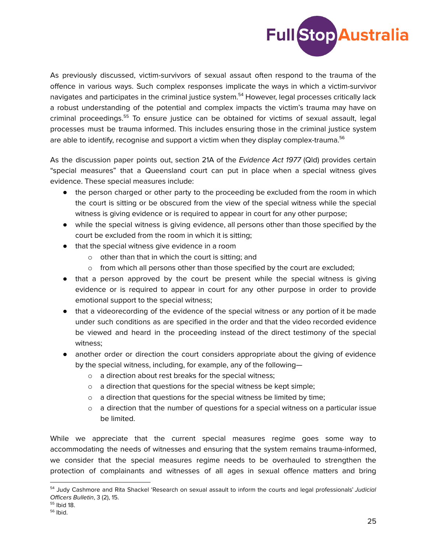

As previously discussed, victim-survivors of sexual assaut often respond to the trauma of the offence in various ways. Such complex responses implicate the ways in which a victim-survivor navigates and participates in the criminal justice system. <sup>54</sup> However, legal processes critically lack a robust understanding of the potential and complex impacts the victim's trauma may have on criminal proceedings.<sup>55</sup> To ensure justice can be obtained for victims of sexual assault, legal processes must be trauma informed. This includes ensuring those in the criminal justice system are able to identify, recognise and support a victim when they display complex-trauma. 56

As the discussion paper points out, section 21A of the Evidence Act 1977 (Qld) provides certain "special measures" that a Queensland court can put in place when a special witness gives evidence. These special measures include:

- the person charged or other party to the proceeding be excluded from the room in which the court is sitting or be obscured from the view of the special witness while the special witness is giving evidence or is required to appear in court for any other purpose;
- while the special witness is giving evidence, all persons other than those specified by the court be excluded from the room in which it is sitting;
- that the special witness give evidence in a room
	- o other than that in which the court is sitting; and
	- $\circ$  from which all persons other than those specified by the court are excluded;
- that a person approved by the court be present while the special witness is giving evidence or is required to appear in court for any other purpose in order to provide emotional support to the special witness;
- that a videorecording of the evidence of the special witness or any portion of it be made under such conditions as are specified in the order and that the video recorded evidence be viewed and heard in the proceeding instead of the direct testimony of the special witness;
- another order or direction the court considers appropriate about the giving of evidence by the special witness, including, for example, any of the following
	- o a direction about rest breaks for the special witness;
	- o a direction that questions for the special witness be kept simple;
	- o a direction that questions for the special witness be limited by time;
	- $\circ$  a direction that the number of questions for a special witness on a particular issue be limited.

While we appreciate that the current special measures regime goes some way to accommodating the needs of witnesses and ensuring that the system remains trauma-informed, we consider that the special measures regime needs to be overhauled to strengthen the protection of complainants and witnesses of all ages in sexual offence matters and bring

<sup>&</sup>lt;sup>54</sup> Judy Cashmore and Rita Shackel 'Research on sexual assault to inform the courts and legal professionals' Judicial Officers Bulletin, 3 (2), 15.

<sup>55</sup> Ibid 18.

<sup>&</sup>lt;sup>56</sup> Ibid.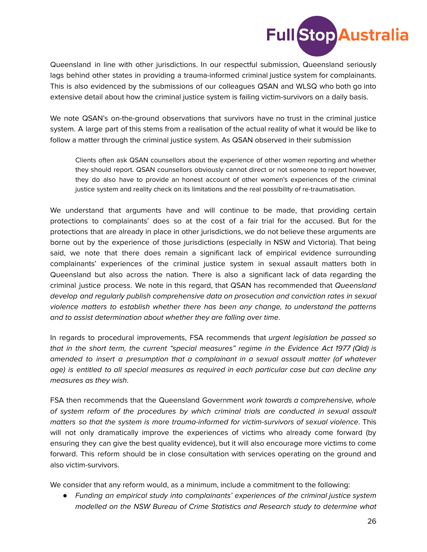

Queensland in line with other jurisdictions. In our respectful submission, Queensland seriously lags behind other states in providing a trauma-informed criminal justice system for complainants. This is also evidenced by the submissions of our colleagues QSAN and WLSQ who both go into extensive detail about how the criminal justice system is failing victim-survivors on a daily basis.

We note QSAN's on-the-ground observations that survivors have no trust in the criminal justice system. A large part of this stems from a realisation of the actual reality of what it would be like to follow a matter through the criminal justice system. As QSAN observed in their submission

Clients often ask QSAN counsellors about the experience of other women reporting and whether they should report. QSAN counsellors obviously cannot direct or not someone to report however, they do also have to provide an honest account of other women's experiences of the criminal justice system and reality check on its limitations and the real possibility of re-traumatisation.

We understand that arguments have and will continue to be made, that providing certain protections to complainants' does so at the cost of a fair trial for the accused. But for the protections that are already in place in other jurisdictions, we do not believe these arguments are borne out by the experience of those jurisdictions (especially in NSW and Victoria). That being said, we note that there does remain a significant lack of empirical evidence surrounding complainants' experiences of the criminal justice system in sexual assault matters both in Queensland but also across the nation. There is also a significant lack of data regarding the criminal justice process. We note in this regard, that QSAN has recommended that Queensland develop and regularly publish comprehensive data on prosecution and conviction rates in sexual violence matters to establish whether there has been any change, to understand the patterns and to assist determination about whether they are falling over time.

In regards to procedural improvements, FSA recommends that *urgent legislation be passed so* that in the short term, the current "special measures" regime in the Evidence Act 1977 (Qld) is amended to insert a presumption that a complainant in a sexual assault matter (of whatever age) is entitled to all special measures as required in each particular case but can decline any measures as they wish.

FSA then recommends that the Queensland Government work towards a comprehensive, whole of system reform of the procedures by which criminal trials are conducted in sexual assault matters so that the system is more trauma-informed for victim-survivors of sexual violence. This will not only dramatically improve the experiences of victims who already come forward (by ensuring they can give the best quality evidence), but it will also encourage more victims to come forward. This reform should be in close consultation with services operating on the ground and also victim-survivors.

We consider that any reform would, as a minimum, include a commitment to the following:

*●* Funding an empirical study into complainants' experiences of the criminal justice system modelled on the NSW Bureau of Crime Statistics and Research study to determine what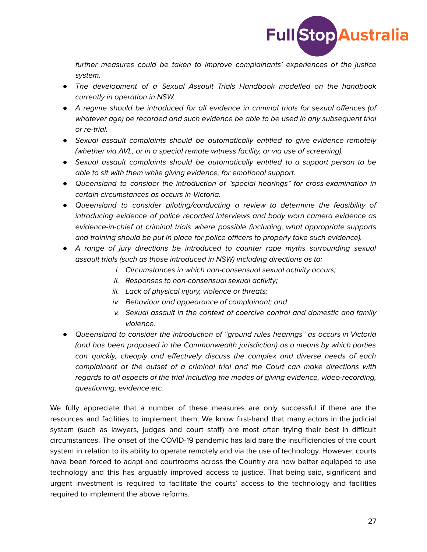

further measures could be taken to improve complainants' experiences of the justice system.

- *●* The development of a Sexual Assault Trials Handbook modelled on the handbook currently in operation in NSW.
- *●* A regime should be introduced for all evidence in criminal trials for sexual offences (of whatever age) be recorded and such evidence be able to be used in any subsequent trial or re-trial.
- *●* Sexual assault complaints should be automatically entitled to give evidence remotely (whether via AVL, or in a special remote witness facility, or via use of screening).
- *●* Sexual assault complaints should be automatically entitled to a support person to be able to sit with them while giving evidence, for emotional support.
- *●* Queensland to consider the introduction of "special hearings" for cross-examination in certain circumstances as occurs in Victoria.
- *●* Queensland to consider piloting/conducting a review to determine the feasibility of introducing evidence of police recorded interviews and body worn camera evidence as evidence-in-chief at criminal trials where possible (including, what appropriate supports and training should be put in place for police officers to properly take such evidence).
- *●* A range of jury directions be introduced to counter rape myths surrounding sexual assault trials (such as those introduced in NSW) including directions as to:
	- i. Circumstances in which non-consensual sexual activity occurs;
	- ii. Responses to non-consensual sexual activity;
	- iii. Lack of physical injury, violence or threats;
	- iv. Behaviour and appearance of complainant; and
	- v. Sexual assault in the context of coercive control and domestic and family violence.
- *●* Queensland to consider the introduction of "ground rules hearings" as occurs in Victoria (and has been proposed in the Commonwealth jurisdiction) as a means by which parties can quickly, cheaply and effectively discuss the complex and diverse needs of each complainant at the outset of a criminal trial and the Court can make directions with regards to all aspects of the trial including the modes of giving evidence, video-recording, questioning, evidence etc.

We fully appreciate that a number of these measures are only successful if there are the resources and facilities to implement them. We know first-hand that many actors in the judicial system (such as lawyers, judges and court staff) are most often trying their best in difficult circumstances. The onset of the COVID-19 pandemic has laid bare the insufficiencies of the court system in relation to its ability to operate remotely and via the use of technology. However, courts have been forced to adapt and courtrooms across the Country are now better equipped to use technology and this has arguably improved access to justice. That being said, significant and urgent investment is required to facilitate the courts' access to the technology and facilities required to implement the above reforms.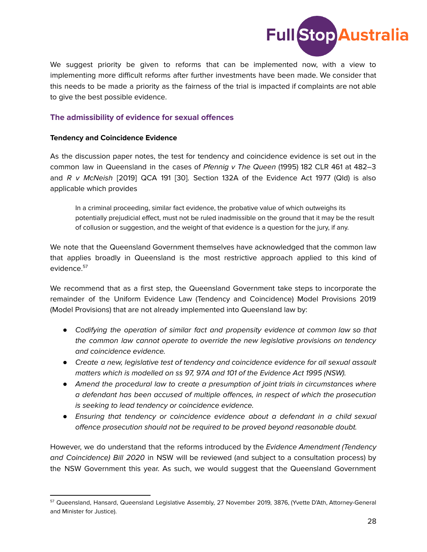

We suggest priority be given to reforms that can be implemented now, with a view to implementing more difficult reforms after further investments have been made. We consider that this needs to be made a priority as the fairness of the trial is impacted if complaints are not able to give the best possible evidence.

#### **The admissibility of evidence for sexual offences**

#### **Tendency and Coincidence Evidence**

As the discussion paper notes, the test for tendency and coincidence evidence is set out in the common law in Queensland in the cases of Pfennig v The Queen (1995) 182 CLR 461 at 482–3 and  $R$  v McNeish [2019] QCA 191 [30]. Section 132A of the Evidence Act 1977 (Qld) is also applicable which provides

In a criminal proceeding, similar fact evidence, the probative value of which outweighs its potentially prejudicial effect, must not be ruled inadmissible on the ground that it may be the result of collusion or suggestion, and the weight of that evidence is a question for the jury, if any.

We note that the Queensland Government themselves have acknowledged that the common law that applies broadly in Queensland is the most restrictive approach applied to this kind of evidence. 57

We recommend that as a first step, the Queensland Government take steps to incorporate the remainder of the Uniform Evidence Law (Tendency and Coincidence) Model Provisions 2019 (Model Provisions) that are not already implemented into Queensland law by:

- *●* Codifying the operation of similar fact and propensity evidence at common law so that the common law cannot operate to override the new legislative provisions on tendency and coincidence evidence.
- *●* Create a new, legislative test of tendency and coincidence evidence for all sexual assault matters which is modelled on ss 97, 97A and 101 of the Evidence Act 1995 (NSW).
- *●* Amend the procedural law to create a presumption of joint trials in circumstances where a defendant has been accused of multiple offences, in respect of which the prosecution is seeking to lead tendency or coincidence evidence.
- *●* Ensuring that tendency or coincidence evidence about a defendant in a child sexual offence prosecution should not be required to be proved beyond reasonable doubt.

However, we do understand that the reforms introduced by the Evidence Amendment (Tendency and Coincidence) Bill 2020 in NSW will be reviewed (and subject to a consultation process) by the NSW Government this year. As such, we would suggest that the Queensland Government

<sup>57</sup> Queensland, Hansard, Queensland Legislative Assembly, 27 November 2019, 3876, (Yvette D'Ath, Attorney-General and Minister for Justice).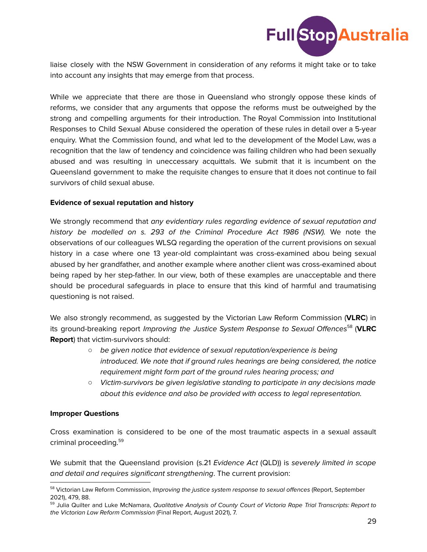

liaise closely with the NSW Government in consideration of any reforms it might take or to take into account any insights that may emerge from that process.

While we appreciate that there are those in Queensland who strongly oppose these kinds of reforms, we consider that any arguments that oppose the reforms must be outweighed by the strong and compelling arguments for their introduction. The Royal Commission into Institutional Responses to Child Sexual Abuse considered the operation of these rules in detail over a 5-year enquiry. What the Commission found, and what led to the development of the Model Law, was a recognition that the law of tendency and coincidence was failing children who had been sexually abused and was resulting in uneccessary acquittals. We submit that it is incumbent on the Queensland government to make the requisite changes to ensure that it does not continue to fail survivors of child sexual abuse.

#### **Evidence of sexual reputation and history**

We strongly recommend that any evidentiary rules regarding evidence of sexual reputation and history be modelled on s. 293 of the Criminal Procedure Act 1986 (NSW). We note the observations of our colleagues WLSQ regarding the operation of the current provisions on sexual history in a case where one 13 year-old complaintant was cross-examined abou being sexual abused by her grandfather, and another example where another client was cross-examined about being raped by her step-father. In our view, both of these examples are unacceptable and there should be procedural safeguards in place to ensure that this kind of harmful and traumatising questioning is not raised.

We also strongly recommend, as suggested by the Victorian Law Reform Commission (**VLRC**) in its ground-breaking report Improving the Justice System Response to Sexual Offences 58 (**VLRC Report**) that victim-survivors should:

- *○* be given notice that evidence of sexual reputation/experience is being introduced. We note that if ground rules hearings are being considered, the notice requirement might form part of the ground rules hearing process; and
- *○* Victim-survivors be given legislative standing to participate in any decisions made about this evidence and also be provided with access to legal representation.

#### **Improper Questions**

Cross examination is considered to be one of the most traumatic aspects in a sexual assault criminal proceeding. 59

We submit that the Queensland provision (s.21 Evidence Act (QLD)) is severely limited in scope and detail and requires significant strengthening. The current provision:

<sup>&</sup>lt;sup>58</sup> Victorian Law Reform Commission, Improving the justice system response to sexual offences (Report, September 2021), 479, 88.

<sup>&</sup>lt;sup>59</sup> Julia Quilter and Luke McNamara, Qualitative Analysis of County Court of Victoria Rape Trial Transcripts: Report to the Victorian Law Reform Commission (Final Report, August 2021), 7.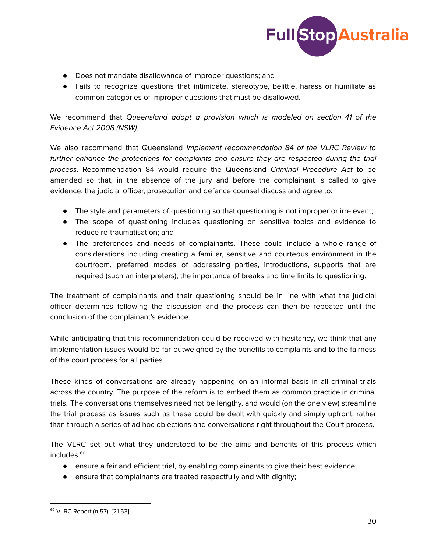

- Does not mandate disallowance of improper questions; and
- Fails to recognize questions that intimidate, stereotype, belittle, harass or humiliate as common categories of improper questions that must be disallowed.

We recommend that Queensland adopt a provision which is modeled on section 41 of the Evidence Act 2008 (NSW).

We also recommend that Queensland *implement recommendation 84 of the VLRC Review to* further enhance the protections for complaints and ensure they are respected during the trial process. Recommendation 84 would require the Queensland Criminal Procedure Act to be amended so that, in the absence of the jury and before the complainant is called to give evidence, the judicial officer, prosecution and defence counsel discuss and agree to:

- The style and parameters of questioning so that questioning is not improper or irrelevant;
- The scope of questioning includes questioning on sensitive topics and evidence to reduce re-traumatisation; and
- The preferences and needs of complainants. These could include a whole range of considerations including creating a familiar, sensitive and courteous environment in the courtroom, preferred modes of addressing parties, introductions, supports that are required (such an interpreters), the importance of breaks and time limits to questioning.

The treatment of complainants and their questioning should be in line with what the judicial officer determines following the discussion and the process can then be repeated until the conclusion of the complainant's evidence.

While anticipating that this recommendation could be received with hesitancy, we think that any implementation issues would be far outweighed by the benefits to complaints and to the fairness of the court process for all parties.

These kinds of conversations are already happening on an informal basis in all criminal trials across the country. The purpose of the reform is to embed them as common practice in criminal trials. The conversations themselves need not be lengthy, and would (on the one view) streamline the trial process as issues such as these could be dealt with quickly and simply upfront, rather than through a series of ad hoc objections and conversations right throughout the Court process.

The VLRC set out what they understood to be the aims and benefits of this process which includes: 60

- ensure a fair and efficient trial, by enabling complainants to give their best evidence;
- ensure that complainants are treated respectfully and with dignity;

<sup>60</sup> VLRC Report (n 57) [21.53].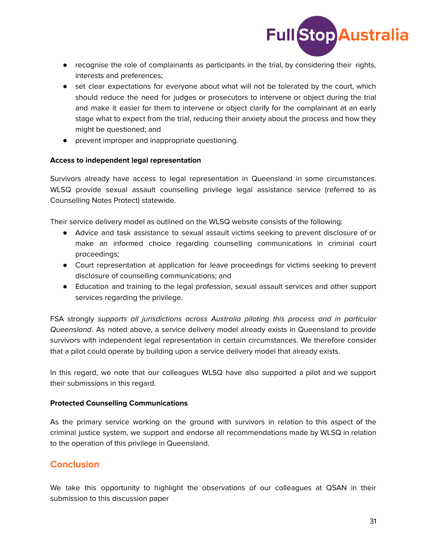

- recognise the role of complainants as participants in the trial, by considering their rights, interests and preferences;
- set clear expectations for everyone about what will not be tolerated by the court, which should reduce the need for judges or prosecutors to intervene or object during the trial and make it easier for them to intervene or object clarify for the complainant at an early stage what to expect from the trial, reducing their anxiety about the process and how they might be questioned; and
- prevent improper and inappropriate questioning.

#### **Access to independent legal representation**

Survivors already have access to legal representation in Queensland in some circumstances. WLSQ provide sexual assault counselling privilege legal assistance service (referred to as Counselling Notes Protect) statewide.

Their service delivery model as outlined on the WLSQ website consists of the following:

- Advice and task assistance to sexual assault victims seeking to prevent disclosure of or make an informed choice regarding counselling communications in criminal court proceedings;
- Court representation at application for leave proceedings for victims seeking to prevent disclosure of counselling communications; and
- Education and training to the legal profession, sexual assault services and other support services regarding the privilege.

FSA strongly supports all jurisdictions across Australia piloting this process and in particular Queensland. As noted above, a service delivery model already exists in Queensland to provide survivors with independent legal representation in certain circumstances. We therefore consider that a pilot could operate by building upon a service delivery model that already exists.

In this regard, we note that our colleagues WLSQ have also supported a pilot and we support their submissions in this regard.

#### **Protected Counselling Communications**

As the primary service working on the ground with survivors in relation to this aspect of the criminal justice system, we support and endorse all recommendations made by WLSQ in relation to the operation of this privilege in Queensland.

# **Conclusion**

We take this opportunity to highlight the observations of our colleagues at QSAN in their submission to this discussion paper